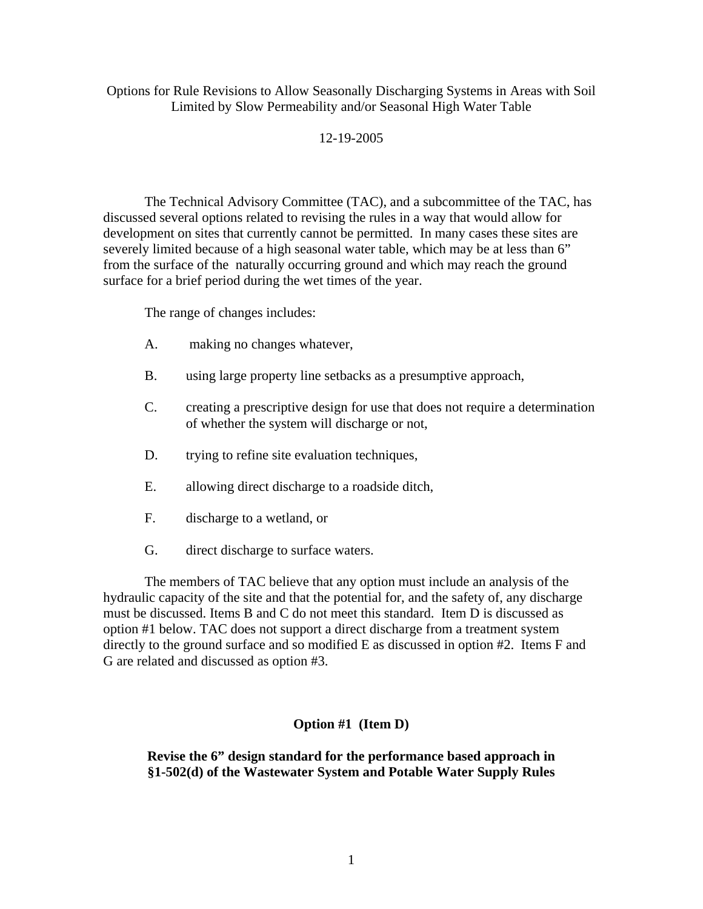## Options for Rule Revisions to Allow Seasonally Discharging Systems in Areas with Soil Limited by Slow Permeability and/or Seasonal High Water Table

## 12-19-2005

The Technical Advisory Committee (TAC), and a subcommittee of the TAC, has discussed several options related to revising the rules in a way that would allow for development on sites that currently cannot be permitted. In many cases these sites are severely limited because of a high seasonal water table, which may be at less than 6" from the surface of the naturally occurring ground and which may reach the ground surface for a brief period during the wet times of the year.

The range of changes includes:

- A. making no changes whatever,
- B. using large property line setbacks as a presumptive approach,
- C. creating a prescriptive design for use that does not require a determination of whether the system will discharge or not,
- D. trying to refine site evaluation techniques,
- E. allowing direct discharge to a roadside ditch,
- F. discharge to a wetland, or
- G. direct discharge to surface waters.

The members of TAC believe that any option must include an analysis of the hydraulic capacity of the site and that the potential for, and the safety of, any discharge must be discussed. Items B and C do not meet this standard. Item D is discussed as option #1 below. TAC does not support a direct discharge from a treatment system directly to the ground surface and so modified E as discussed in option #2. Items F and G are related and discussed as option #3.

## **Option #1 (Item D)**

**Revise the 6" design standard for the performance based approach in §1-502(d) of the Wastewater System and Potable Water Supply Rules**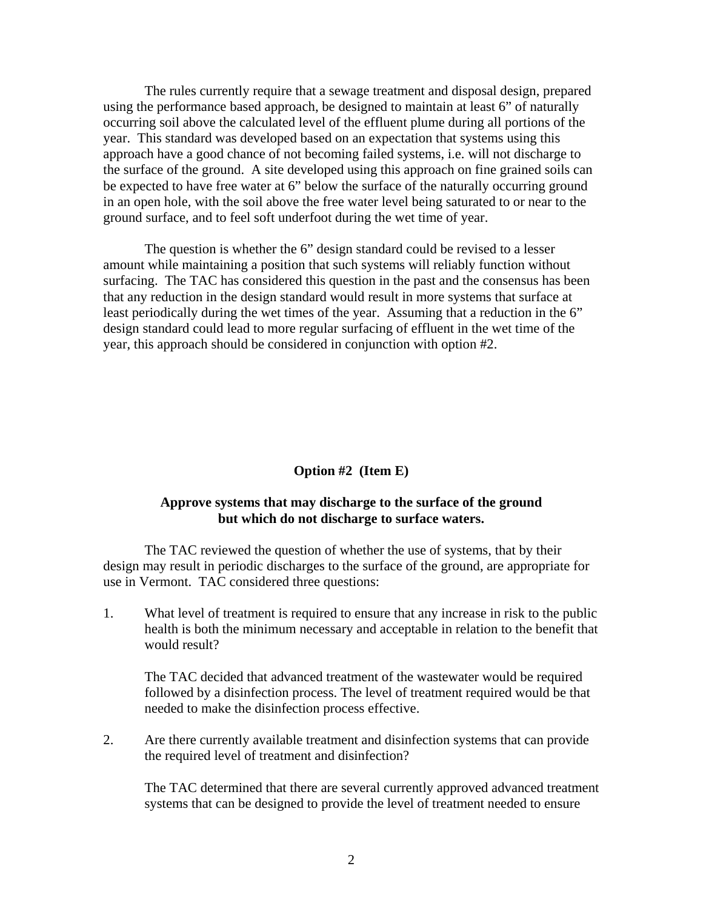The rules currently require that a sewage treatment and disposal design, prepared using the performance based approach, be designed to maintain at least 6" of naturally occurring soil above the calculated level of the effluent plume during all portions of the year. This standard was developed based on an expectation that systems using this approach have a good chance of not becoming failed systems, i.e. will not discharge to the surface of the ground. A site developed using this approach on fine grained soils can be expected to have free water at 6" below the surface of the naturally occurring ground in an open hole, with the soil above the free water level being saturated to or near to the ground surface, and to feel soft underfoot during the wet time of year.

The question is whether the 6" design standard could be revised to a lesser amount while maintaining a position that such systems will reliably function without surfacing. The TAC has considered this question in the past and the consensus has been that any reduction in the design standard would result in more systems that surface at least periodically during the wet times of the year. Assuming that a reduction in the 6" design standard could lead to more regular surfacing of effluent in the wet time of the year, this approach should be considered in conjunction with option #2.

### **Option #2 (Item E)**

## **Approve systems that may discharge to the surface of the ground but which do not discharge to surface waters.**

The TAC reviewed the question of whether the use of systems, that by their design may result in periodic discharges to the surface of the ground, are appropriate for use in Vermont. TAC considered three questions:

1. What level of treatment is required to ensure that any increase in risk to the public health is both the minimum necessary and acceptable in relation to the benefit that would result?

The TAC decided that advanced treatment of the wastewater would be required followed by a disinfection process. The level of treatment required would be that needed to make the disinfection process effective.

2. Are there currently available treatment and disinfection systems that can provide the required level of treatment and disinfection?

The TAC determined that there are several currently approved advanced treatment systems that can be designed to provide the level of treatment needed to ensure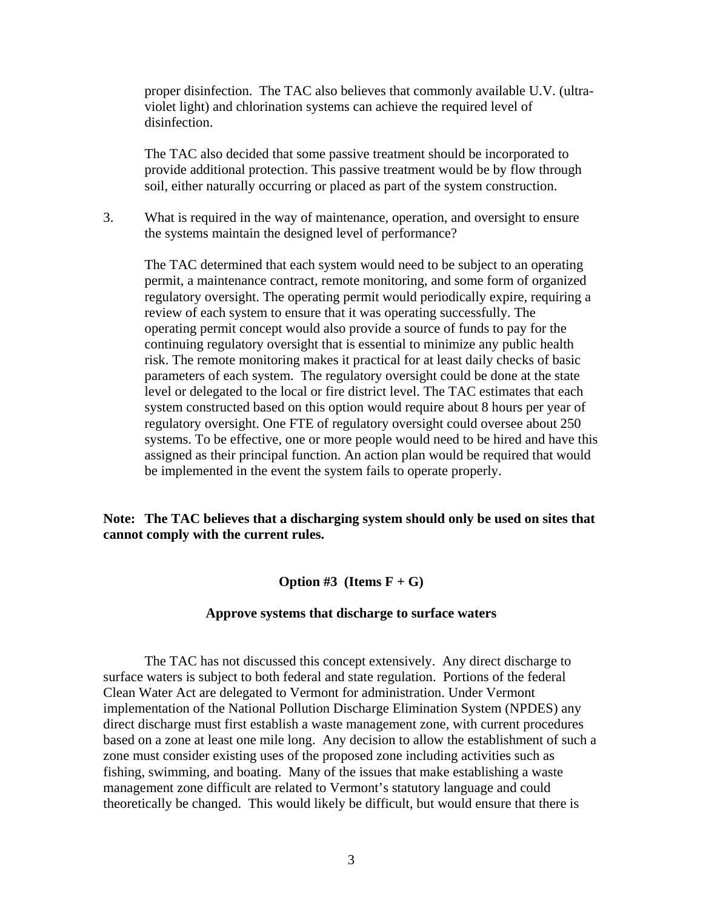proper disinfection. The TAC also believes that commonly available U.V. (ultraviolet light) and chlorination systems can achieve the required level of disinfection.

The TAC also decided that some passive treatment should be incorporated to provide additional protection. This passive treatment would be by flow through soil, either naturally occurring or placed as part of the system construction.

3. What is required in the way of maintenance, operation, and oversight to ensure the systems maintain the designed level of performance?

The TAC determined that each system would need to be subject to an operating permit, a maintenance contract, remote monitoring, and some form of organized regulatory oversight. The operating permit would periodically expire, requiring a review of each system to ensure that it was operating successfully. The operating permit concept would also provide a source of funds to pay for the continuing regulatory oversight that is essential to minimize any public health risk. The remote monitoring makes it practical for at least daily checks of basic parameters of each system. The regulatory oversight could be done at the state level or delegated to the local or fire district level. The TAC estimates that each system constructed based on this option would require about 8 hours per year of regulatory oversight. One FTE of regulatory oversight could oversee about 250 systems. To be effective, one or more people would need to be hired and have this assigned as their principal function. An action plan would be required that would be implemented in the event the system fails to operate properly.

### **Note: The TAC believes that a discharging system should only be used on sites that cannot comply with the current rules.**

### **Option #3** (**Items**  $F + G$ )

### **Approve systems that discharge to surface waters**

The TAC has not discussed this concept extensively. Any direct discharge to surface waters is subject to both federal and state regulation. Portions of the federal Clean Water Act are delegated to Vermont for administration. Under Vermont implementation of the National Pollution Discharge Elimination System (NPDES) any direct discharge must first establish a waste management zone, with current procedures based on a zone at least one mile long. Any decision to allow the establishment of such a zone must consider existing uses of the proposed zone including activities such as fishing, swimming, and boating. Many of the issues that make establishing a waste management zone difficult are related to Vermont's statutory language and could theoretically be changed. This would likely be difficult, but would ensure that there is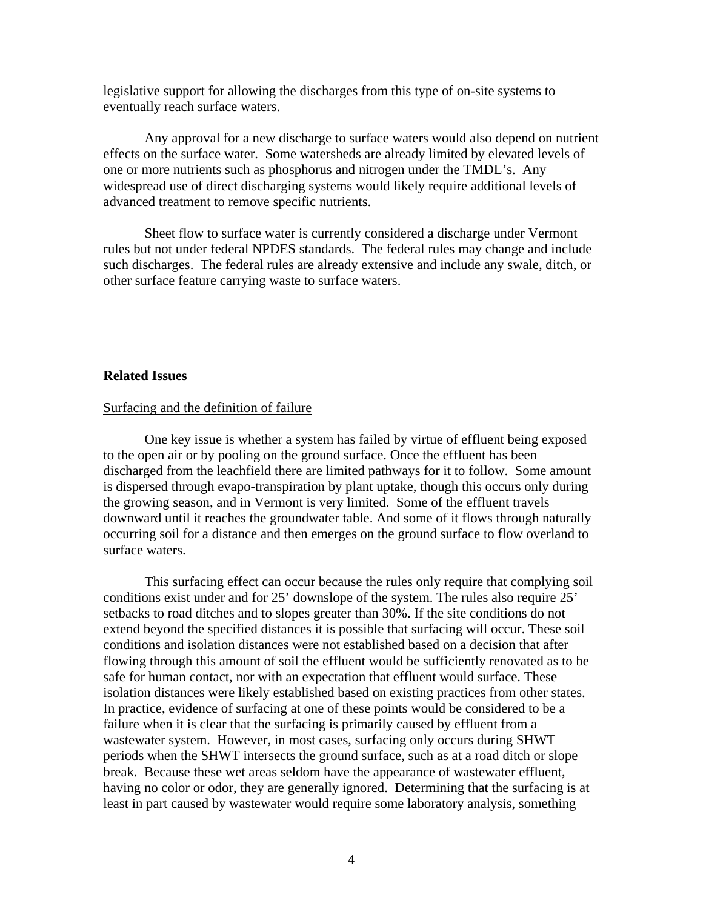legislative support for allowing the discharges from this type of on-site systems to eventually reach surface waters.

Any approval for a new discharge to surface waters would also depend on nutrient effects on the surface water. Some watersheds are already limited by elevated levels of one or more nutrients such as phosphorus and nitrogen under the TMDL's. Any widespread use of direct discharging systems would likely require additional levels of advanced treatment to remove specific nutrients.

Sheet flow to surface water is currently considered a discharge under Vermont rules but not under federal NPDES standards. The federal rules may change and include such discharges. The federal rules are already extensive and include any swale, ditch, or other surface feature carrying waste to surface waters.

### **Related Issues**

#### Surfacing and the definition of failure

One key issue is whether a system has failed by virtue of effluent being exposed to the open air or by pooling on the ground surface. Once the effluent has been discharged from the leachfield there are limited pathways for it to follow. Some amount is dispersed through evapo-transpiration by plant uptake, though this occurs only during the growing season, and in Vermont is very limited. Some of the effluent travels downward until it reaches the groundwater table. And some of it flows through naturally occurring soil for a distance and then emerges on the ground surface to flow overland to surface waters.

This surfacing effect can occur because the rules only require that complying soil conditions exist under and for 25' downslope of the system. The rules also require 25' setbacks to road ditches and to slopes greater than 30%. If the site conditions do not extend beyond the specified distances it is possible that surfacing will occur. These soil conditions and isolation distances were not established based on a decision that after flowing through this amount of soil the effluent would be sufficiently renovated as to be safe for human contact, nor with an expectation that effluent would surface. These isolation distances were likely established based on existing practices from other states. In practice, evidence of surfacing at one of these points would be considered to be a failure when it is clear that the surfacing is primarily caused by effluent from a wastewater system. However, in most cases, surfacing only occurs during SHWT periods when the SHWT intersects the ground surface, such as at a road ditch or slope break. Because these wet areas seldom have the appearance of wastewater effluent, having no color or odor, they are generally ignored. Determining that the surfacing is at least in part caused by wastewater would require some laboratory analysis, something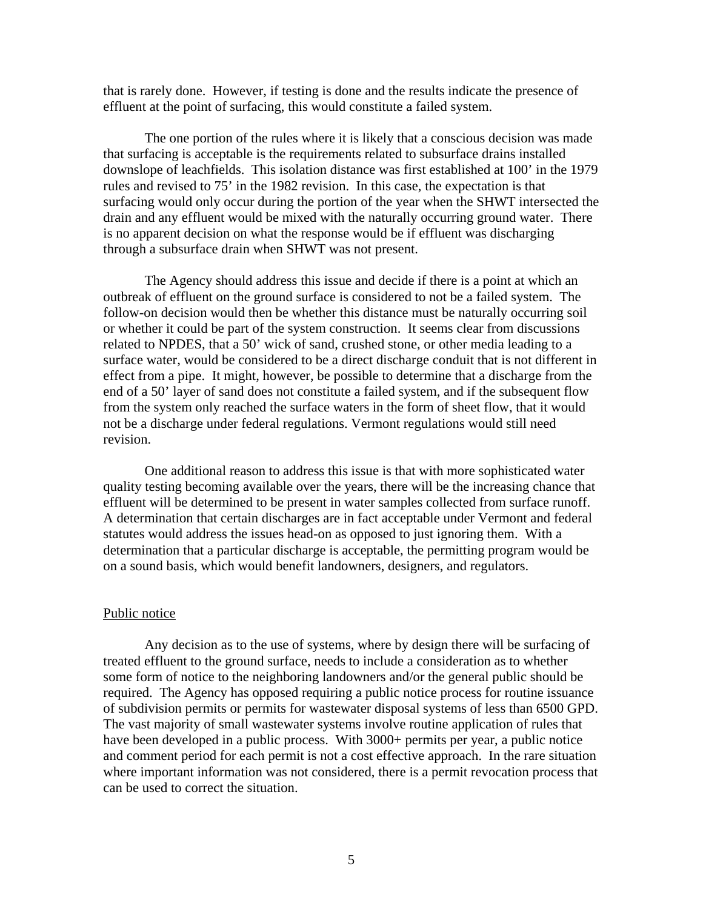that is rarely done. However, if testing is done and the results indicate the presence of effluent at the point of surfacing, this would constitute a failed system.

The one portion of the rules where it is likely that a conscious decision was made that surfacing is acceptable is the requirements related to subsurface drains installed downslope of leachfields. This isolation distance was first established at 100' in the 1979 rules and revised to 75' in the 1982 revision. In this case, the expectation is that surfacing would only occur during the portion of the year when the SHWT intersected the drain and any effluent would be mixed with the naturally occurring ground water. There is no apparent decision on what the response would be if effluent was discharging through a subsurface drain when SHWT was not present.

The Agency should address this issue and decide if there is a point at which an outbreak of effluent on the ground surface is considered to not be a failed system. The follow-on decision would then be whether this distance must be naturally occurring soil or whether it could be part of the system construction. It seems clear from discussions related to NPDES, that a 50' wick of sand, crushed stone, or other media leading to a surface water, would be considered to be a direct discharge conduit that is not different in effect from a pipe. It might, however, be possible to determine that a discharge from the end of a 50' layer of sand does not constitute a failed system, and if the subsequent flow from the system only reached the surface waters in the form of sheet flow, that it would not be a discharge under federal regulations. Vermont regulations would still need revision.

One additional reason to address this issue is that with more sophisticated water quality testing becoming available over the years, there will be the increasing chance that effluent will be determined to be present in water samples collected from surface runoff. A determination that certain discharges are in fact acceptable under Vermont and federal statutes would address the issues head-on as opposed to just ignoring them. With a determination that a particular discharge is acceptable, the permitting program would be on a sound basis, which would benefit landowners, designers, and regulators.

### Public notice

Any decision as to the use of systems, where by design there will be surfacing of treated effluent to the ground surface, needs to include a consideration as to whether some form of notice to the neighboring landowners and/or the general public should be required. The Agency has opposed requiring a public notice process for routine issuance of subdivision permits or permits for wastewater disposal systems of less than 6500 GPD. The vast majority of small wastewater systems involve routine application of rules that have been developed in a public process. With 3000+ permits per year, a public notice and comment period for each permit is not a cost effective approach. In the rare situation where important information was not considered, there is a permit revocation process that can be used to correct the situation.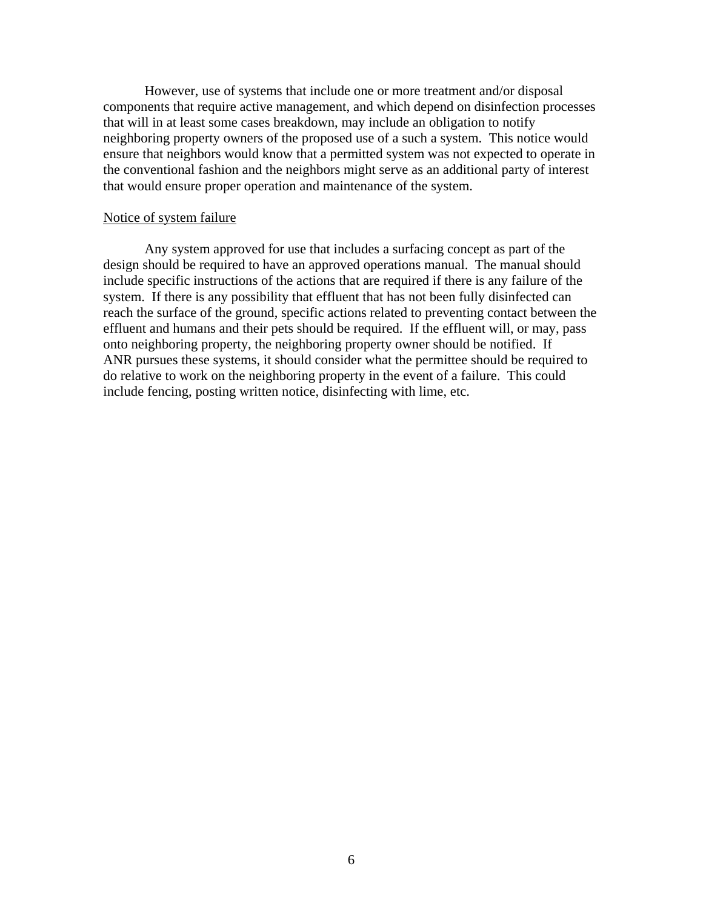However, use of systems that include one or more treatment and/or disposal components that require active management, and which depend on disinfection processes that will in at least some cases breakdown, may include an obligation to notify neighboring property owners of the proposed use of a such a system. This notice would ensure that neighbors would know that a permitted system was not expected to operate in the conventional fashion and the neighbors might serve as an additional party of interest that would ensure proper operation and maintenance of the system.

### Notice of system failure

Any system approved for use that includes a surfacing concept as part of the design should be required to have an approved operations manual. The manual should include specific instructions of the actions that are required if there is any failure of the system. If there is any possibility that effluent that has not been fully disinfected can reach the surface of the ground, specific actions related to preventing contact between the effluent and humans and their pets should be required. If the effluent will, or may, pass onto neighboring property, the neighboring property owner should be notified. If ANR pursues these systems, it should consider what the permittee should be required to do relative to work on the neighboring property in the event of a failure. This could include fencing, posting written notice, disinfecting with lime, etc.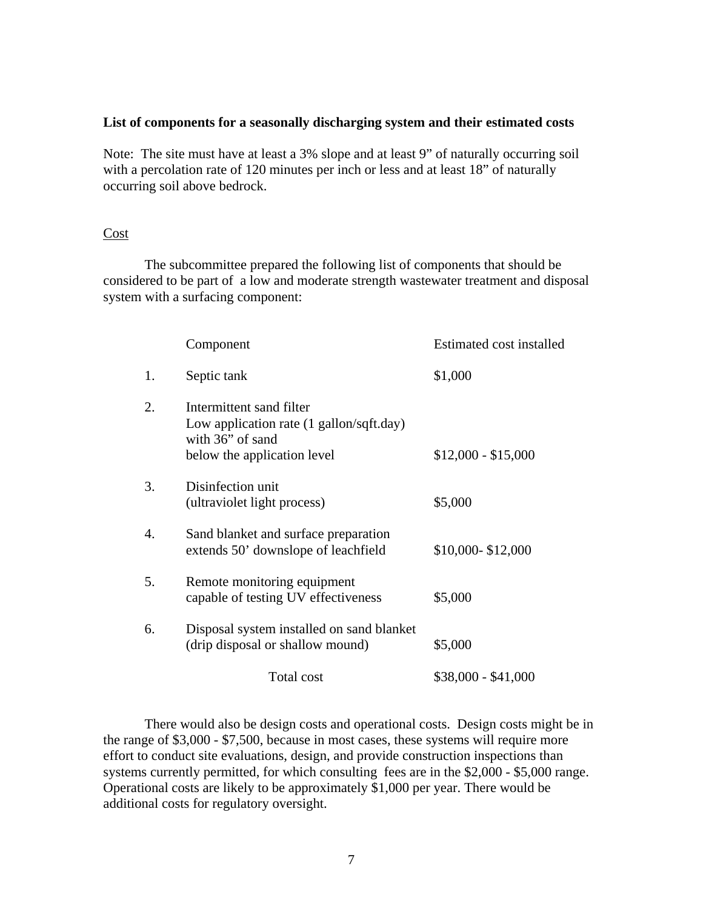### **List of components for a seasonally discharging system and their estimated costs**

Note: The site must have at least a 3% slope and at least 9" of naturally occurring soil with a percolation rate of 120 minutes per inch or less and at least 18" of naturally occurring soil above bedrock.

### Cost

The subcommittee prepared the following list of components that should be considered to be part of a low and moderate strength wastewater treatment and disposal system with a surfacing component:

|                  | Component                                                                                                               | Estimated cost installed |
|------------------|-------------------------------------------------------------------------------------------------------------------------|--------------------------|
| 1.               | Septic tank                                                                                                             | \$1,000                  |
| 2.               | Intermittent sand filter<br>Low application rate (1 gallon/sqft.day)<br>with 36" of sand<br>below the application level | $$12,000 - $15,000$      |
| 3.               | Disinfection unit<br>(ultraviolet light process)                                                                        | \$5,000                  |
| $\overline{4}$ . | Sand blanket and surface preparation<br>extends 50' downslope of leachfield                                             | \$10,000-\$12,000        |
| 5.               | Remote monitoring equipment<br>capable of testing UV effectiveness                                                      | \$5,000                  |
| 6.               | Disposal system installed on sand blanket<br>(drip disposal or shallow mound)                                           | \$5,000                  |
|                  | Total cost                                                                                                              | $$38,000 - $41,000$      |

There would also be design costs and operational costs. Design costs might be in the range of \$3,000 - \$7,500, because in most cases, these systems will require more effort to conduct site evaluations, design, and provide construction inspections than systems currently permitted, for which consulting fees are in the \$2,000 - \$5,000 range. Operational costs are likely to be approximately \$1,000 per year. There would be additional costs for regulatory oversight.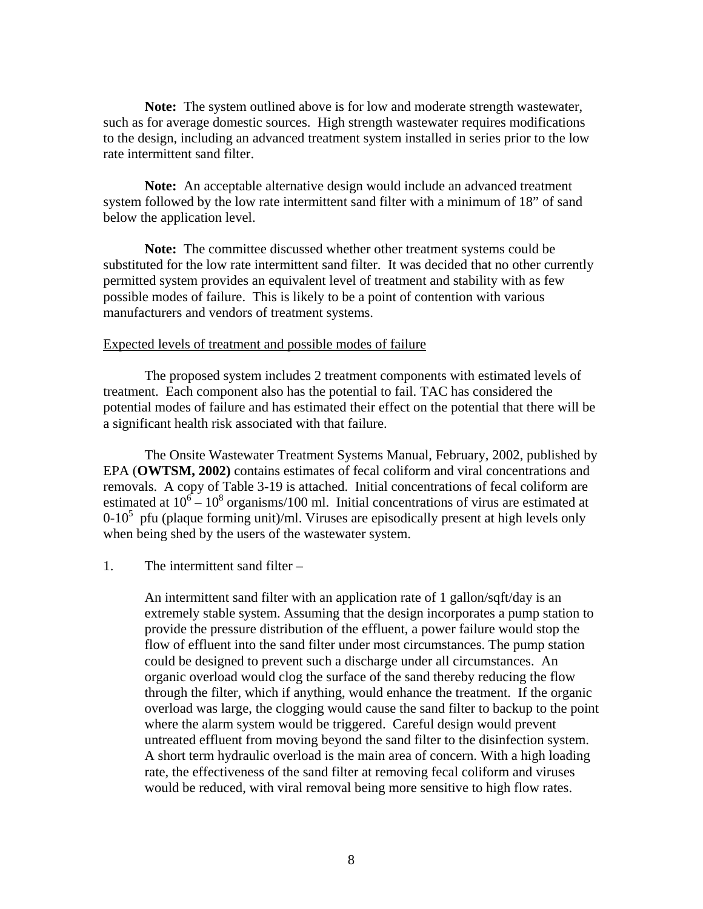**Note:** The system outlined above is for low and moderate strength wastewater, such as for average domestic sources. High strength wastewater requires modifications to the design, including an advanced treatment system installed in series prior to the low rate intermittent sand filter.

**Note:** An acceptable alternative design would include an advanced treatment system followed by the low rate intermittent sand filter with a minimum of 18" of sand below the application level.

**Note:** The committee discussed whether other treatment systems could be substituted for the low rate intermittent sand filter. It was decided that no other currently permitted system provides an equivalent level of treatment and stability with as few possible modes of failure. This is likely to be a point of contention with various manufacturers and vendors of treatment systems.

### Expected levels of treatment and possible modes of failure

The proposed system includes 2 treatment components with estimated levels of treatment. Each component also has the potential to fail. TAC has considered the potential modes of failure and has estimated their effect on the potential that there will be a significant health risk associated with that failure.

The Onsite Wastewater Treatment Systems Manual, February, 2002, published by EPA (**OWTSM, 2002)** contains estimates of fecal coliform and viral concentrations and removals. A copy of Table 3-19 is attached. Initial concentrations of fecal coliform are estimated at  $10^6 - 10^8$  organisms/100 ml. Initial concentrations of virus are estimated at  $0\n-10<sup>5</sup>$  pfu (plaque forming unit)/ml. Viruses are episodically present at high levels only when being shed by the users of the wastewater system.

### 1. The intermittent sand filter –

An intermittent sand filter with an application rate of 1 gallon/sqft/day is an extremely stable system. Assuming that the design incorporates a pump station to provide the pressure distribution of the effluent, a power failure would stop the flow of effluent into the sand filter under most circumstances. The pump station could be designed to prevent such a discharge under all circumstances. An organic overload would clog the surface of the sand thereby reducing the flow through the filter, which if anything, would enhance the treatment. If the organic overload was large, the clogging would cause the sand filter to backup to the point where the alarm system would be triggered. Careful design would prevent untreated effluent from moving beyond the sand filter to the disinfection system. A short term hydraulic overload is the main area of concern. With a high loading rate, the effectiveness of the sand filter at removing fecal coliform and viruses would be reduced, with viral removal being more sensitive to high flow rates.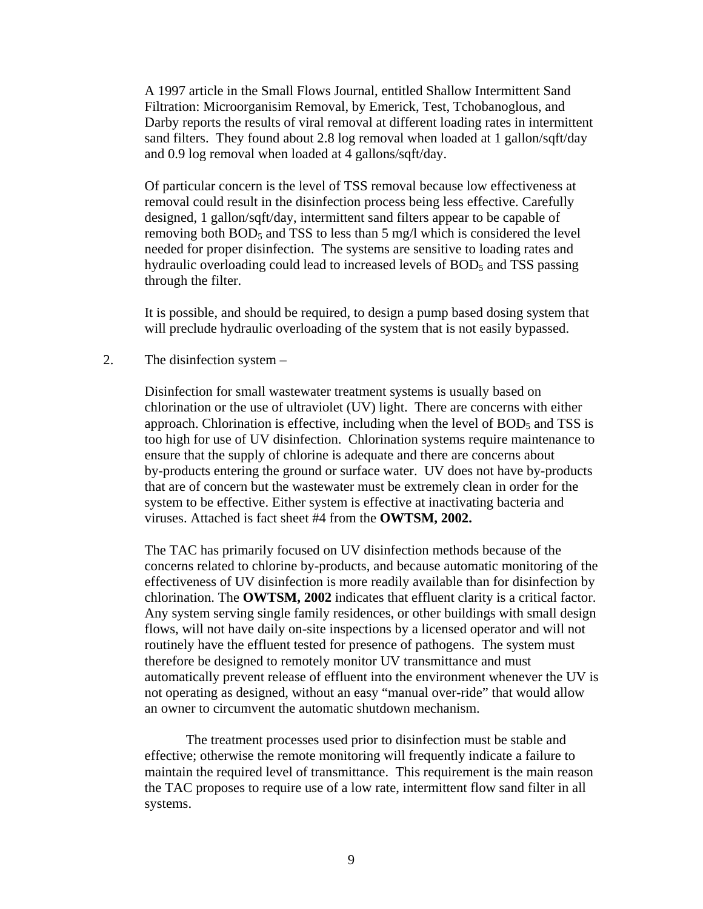A 1997 article in the Small Flows Journal, entitled Shallow Intermittent Sand Filtration: Microorganisim Removal, by Emerick, Test, Tchobanoglous, and Darby reports the results of viral removal at different loading rates in intermittent sand filters. They found about 2.8 log removal when loaded at 1 gallon/sqft/day and 0.9 log removal when loaded at 4 gallons/sqft/day.

Of particular concern is the level of TSS removal because low effectiveness at removal could result in the disinfection process being less effective. Carefully designed, 1 gallon/sqft/day, intermittent sand filters appear to be capable of removing both  $BOD_5$  and TSS to less than 5 mg/l which is considered the level needed for proper disinfection. The systems are sensitive to loading rates and hydraulic overloading could lead to increased levels of BOD<sub>5</sub> and TSS passing through the filter.

It is possible, and should be required, to design a pump based dosing system that will preclude hydraulic overloading of the system that is not easily bypassed.

2. The disinfection system –

Disinfection for small wastewater treatment systems is usually based on chlorination or the use of ultraviolet (UV) light. There are concerns with either approach. Chlorination is effective, including when the level of  $BOD<sub>5</sub>$  and TSS is too high for use of UV disinfection. Chlorination systems require maintenance to ensure that the supply of chlorine is adequate and there are concerns about by-products entering the ground or surface water. UV does not have by-products that are of concern but the wastewater must be extremely clean in order for the system to be effective. Either system is effective at inactivating bacteria and viruses. Attached is fact sheet #4 from the **OWTSM, 2002.** 

The TAC has primarily focused on UV disinfection methods because of the concerns related to chlorine by-products, and because automatic monitoring of the effectiveness of UV disinfection is more readily available than for disinfection by chlorination. The **OWTSM, 2002** indicates that effluent clarity is a critical factor. Any system serving single family residences, or other buildings with small design flows, will not have daily on-site inspections by a licensed operator and will not routinely have the effluent tested for presence of pathogens. The system must therefore be designed to remotely monitor UV transmittance and must automatically prevent release of effluent into the environment whenever the UV is not operating as designed, without an easy "manual over-ride" that would allow an owner to circumvent the automatic shutdown mechanism.

The treatment processes used prior to disinfection must be stable and effective; otherwise the remote monitoring will frequently indicate a failure to maintain the required level of transmittance. This requirement is the main reason the TAC proposes to require use of a low rate, intermittent flow sand filter in all systems.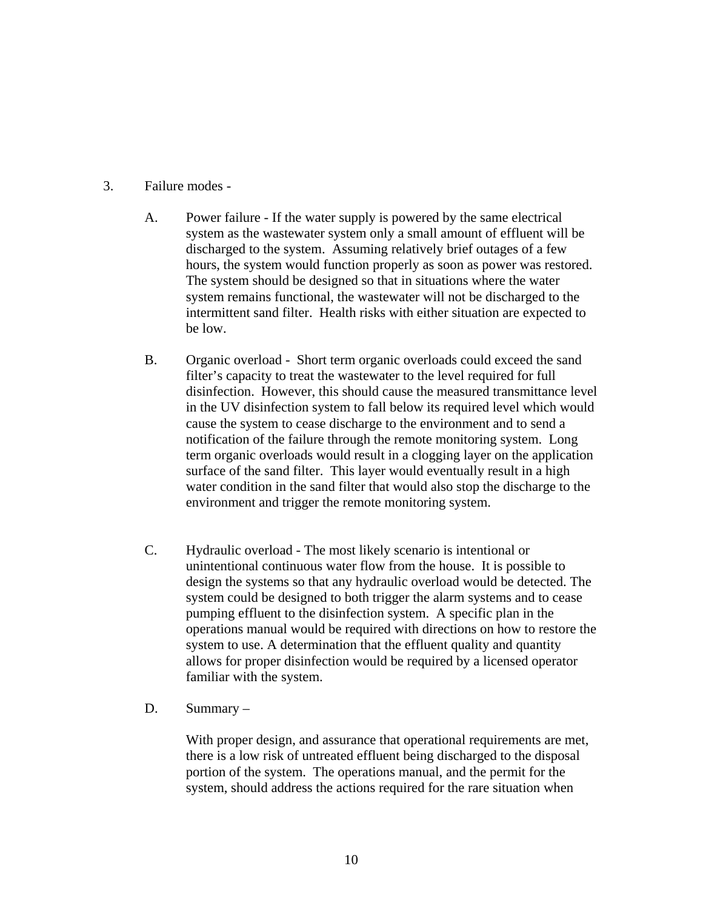## 3. Failure modes -

- A. Power failure If the water supply is powered by the same electrical system as the wastewater system only a small amount of effluent will be discharged to the system. Assuming relatively brief outages of a few hours, the system would function properly as soon as power was restored. The system should be designed so that in situations where the water system remains functional, the wastewater will not be discharged to the intermittent sand filter. Health risks with either situation are expected to be low.
- B. Organic overload Short term organic overloads could exceed the sand filter's capacity to treat the wastewater to the level required for full disinfection. However, this should cause the measured transmittance level in the UV disinfection system to fall below its required level which would cause the system to cease discharge to the environment and to send a notification of the failure through the remote monitoring system. Long term organic overloads would result in a clogging layer on the application surface of the sand filter. This layer would eventually result in a high water condition in the sand filter that would also stop the discharge to the environment and trigger the remote monitoring system.
- C. Hydraulic overload The most likely scenario is intentional or unintentional continuous water flow from the house. It is possible to design the systems so that any hydraulic overload would be detected. The system could be designed to both trigger the alarm systems and to cease pumping effluent to the disinfection system. A specific plan in the operations manual would be required with directions on how to restore the system to use. A determination that the effluent quality and quantity allows for proper disinfection would be required by a licensed operator familiar with the system.
- D. Summary –

With proper design, and assurance that operational requirements are met, there is a low risk of untreated effluent being discharged to the disposal portion of the system. The operations manual, and the permit for the system, should address the actions required for the rare situation when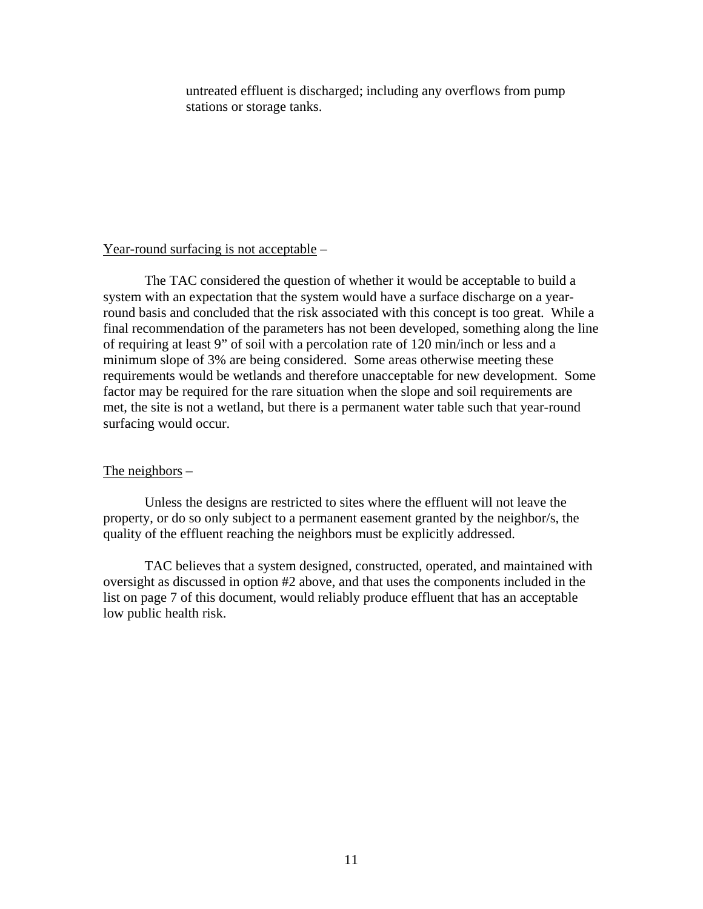untreated effluent is discharged; including any overflows from pump stations or storage tanks.

### Year-round surfacing is not acceptable –

The TAC considered the question of whether it would be acceptable to build a system with an expectation that the system would have a surface discharge on a yearround basis and concluded that the risk associated with this concept is too great. While a final recommendation of the parameters has not been developed, something along the line of requiring at least 9" of soil with a percolation rate of 120 min/inch or less and a minimum slope of 3% are being considered. Some areas otherwise meeting these requirements would be wetlands and therefore unacceptable for new development. Some factor may be required for the rare situation when the slope and soil requirements are met, the site is not a wetland, but there is a permanent water table such that year-round surfacing would occur.

### The neighbors –

Unless the designs are restricted to sites where the effluent will not leave the property, or do so only subject to a permanent easement granted by the neighbor/s, the quality of the effluent reaching the neighbors must be explicitly addressed.

TAC believes that a system designed, constructed, operated, and maintained with oversight as discussed in option #2 above, and that uses the components included in the list on page 7 of this document, would reliably produce effluent that has an acceptable low public health risk.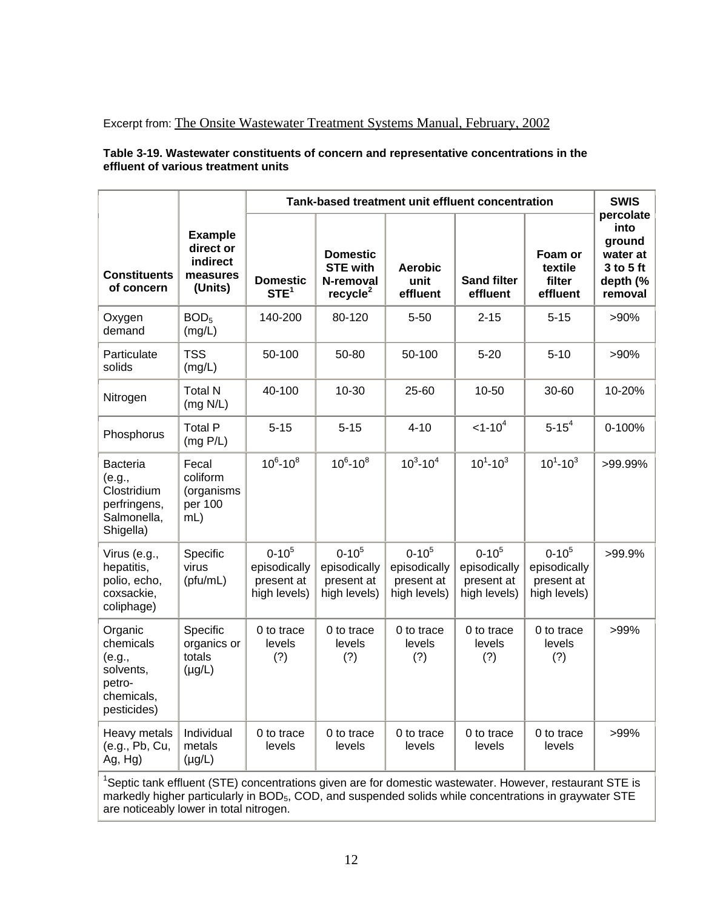## Excerpt from: The Onsite Wastewater Treatment Systems Manual, February, 2002

### **Table 3-19. Wastewater constituents of concern and representative concentrations in the effluent of various treatment units**

|                                                                                    |                                                                | Tank-based treatment unit effluent concentration           |                                                                         |                                                            | <b>SWIS</b>                                                |                                                            |                                                                                 |
|------------------------------------------------------------------------------------|----------------------------------------------------------------|------------------------------------------------------------|-------------------------------------------------------------------------|------------------------------------------------------------|------------------------------------------------------------|------------------------------------------------------------|---------------------------------------------------------------------------------|
| <b>Constituents</b><br>of concern                                                  | <b>Example</b><br>direct or<br>indirect<br>measures<br>(Units) | <b>Domestic</b><br>STE <sup>1</sup>                        | <b>Domestic</b><br><b>STE with</b><br>N-removal<br>recycle <sup>2</sup> | <b>Aerobic</b><br>unit<br>effluent                         | <b>Sand filter</b><br>effluent                             | Foam or<br>textile<br>filter<br>effluent                   | percolate<br>into<br>ground<br>water at<br>$3$ to $5$ ft<br>depth (%<br>removal |
| Oxygen<br>demand                                                                   | BOD <sub>5</sub><br>(mg/L)                                     | 140-200                                                    | 80-120                                                                  | $5 - 50$                                                   | $2 - 15$                                                   | $5 - 15$                                                   | $>90\%$                                                                         |
| Particulate<br>solids                                                              | <b>TSS</b><br>(mg/L)                                           | 50-100                                                     | 50-80                                                                   | 50-100                                                     | $5 - 20$                                                   | $5 - 10$                                                   | $>90\%$                                                                         |
| Nitrogen                                                                           | <b>Total N</b><br>(mg N/L)                                     | 40-100                                                     | 10-30                                                                   | 25-60                                                      | 10-50                                                      | 30-60                                                      | 10-20%                                                                          |
| Phosphorus                                                                         | <b>Total P</b><br>(mg P/L)                                     | $5 - 15$                                                   | $5 - 15$                                                                | $4 - 10$                                                   | $<1 - 104$                                                 | $5 - 154$                                                  | 0-100%                                                                          |
| Bacteria<br>(e.g.,<br>Clostridium<br>perfringens,<br>Salmonella,<br>Shigella)      | Fecal<br>coliform<br>(organisms<br>per 100<br>mL)              | $10^6 - 10^8$                                              | $10^6 - 10^8$                                                           | $10^3 - 10^4$                                              | $10^1 - 10^3$                                              | $10^1 - 10^3$                                              | >99.99%                                                                         |
| Virus (e.g.,<br>hepatitis,<br>polio, echo,<br>coxsackie,<br>coliphage)             | Specific<br>virus<br>(pfu/mL)                                  | $0 - 10^{5}$<br>episodically<br>present at<br>high levels) | $0 - 10^{5}$<br>episodically<br>present at<br>high levels)              | $0 - 10^{5}$<br>episodically<br>present at<br>high levels) | $0 - 10^{5}$<br>episodically<br>present at<br>high levels) | $0 - 10^{5}$<br>episodically<br>present at<br>high levels) | >99.9%                                                                          |
| Organic<br>chemicals<br>(e.g.,<br>solvents,<br>petro-<br>chemicals,<br>pesticides) | Specific<br>organics or<br>totals<br>$(\mu g/L)$               | 0 to trace<br>levels<br>(?)                                | 0 to trace<br>levels<br>(?)                                             | 0 to trace<br>levels<br>(?)                                | 0 to trace<br>levels<br>(?)                                | 0 to trace<br>levels<br>(?)                                | >99%                                                                            |
| Heavy metals<br>(e.g., Pb, Cu,<br>Ag, Hg)<br>$1 -$                                 | Individual<br>metals<br>$(\mu g/L)$                            | 0 to trace<br>levels                                       | 0 to trace<br>levels                                                    | 0 to trace<br>levels                                       | 0 to trace<br>levels                                       | 0 to trace<br>levels                                       | >99%                                                                            |

<sup>1</sup>Septic tank effluent (STE) concentrations given are for domestic wastewater. However, restaurant STE is markedly higher particularly in BOD<sub>5</sub>, COD, and suspended solids while concentrations in graywater STE are noticeably lower in total nitrogen.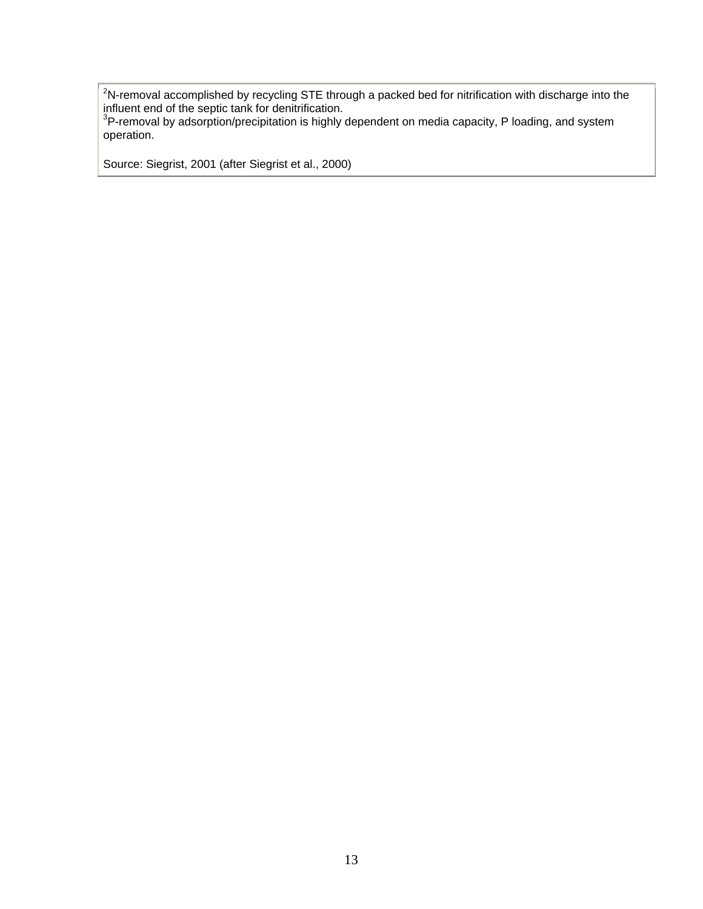<sup>2</sup>N-removal accomplished by recycling STE through a packed bed for nitrification with discharge into the influent end of the septic tank for denitrification.<br><sup>3</sup>P-removal by adsorption/precipitation is highly dependent on media capacity, P loading, and system

operation.

Source: Siegrist, 2001 (after Siegrist et al., 2000)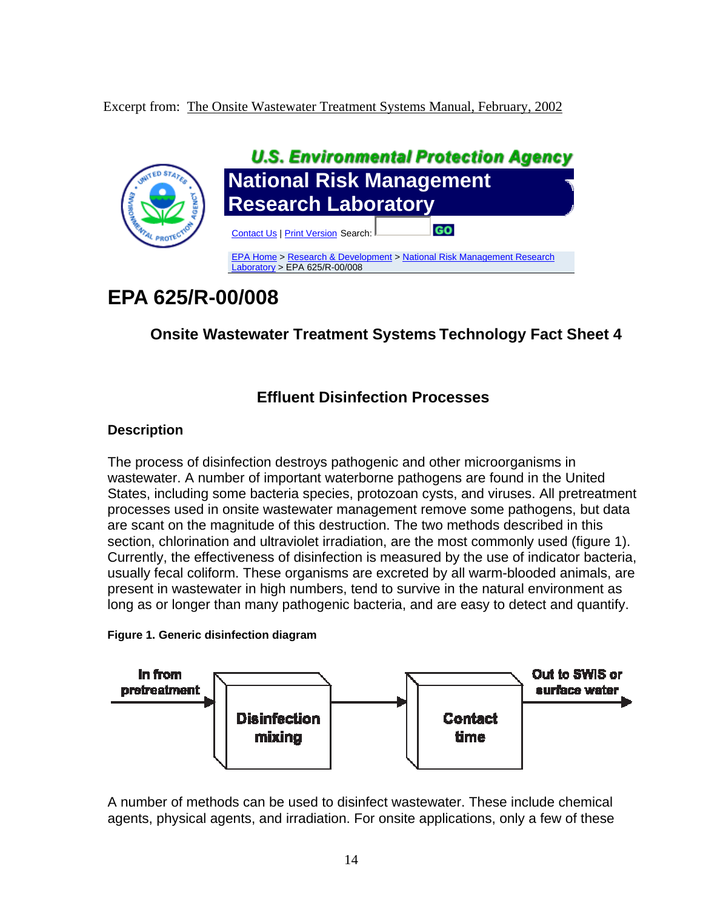Excerpt from: The Onsite Wastewater Treatment Systems Manual, February, 2002



# **EPA 625/R-00/008**

## **Onsite Wastewater Treatment Systems Technology Fact Sheet 4**

## **Effluent Disinfection Processes**

## **Description**

The process of disinfection destroys pathogenic and other microorganisms in wastewater. A number of important waterborne pathogens are found in the United States, including some bacteria species, protozoan cysts, and viruses. All pretreatment processes used in onsite wastewater management remove some pathogens, but data are scant on the magnitude of this destruction. The two methods described in this section, chlorination and ultraviolet irradiation, are the most commonly used (figure 1). Currently, the effectiveness of disinfection is measured by the use of indicator bacteria, usually fecal coliform. These organisms are excreted by all warm-blooded animals, are present in wastewater in high numbers, tend to survive in the natural environment as long as or longer than many pathogenic bacteria, and are easy to detect and quantify.

## **Figure 1. Generic disinfection diagram**



A number of methods can be used to disinfect wastewater. These include chemical agents, physical agents, and irradiation. For onsite applications, only a few of these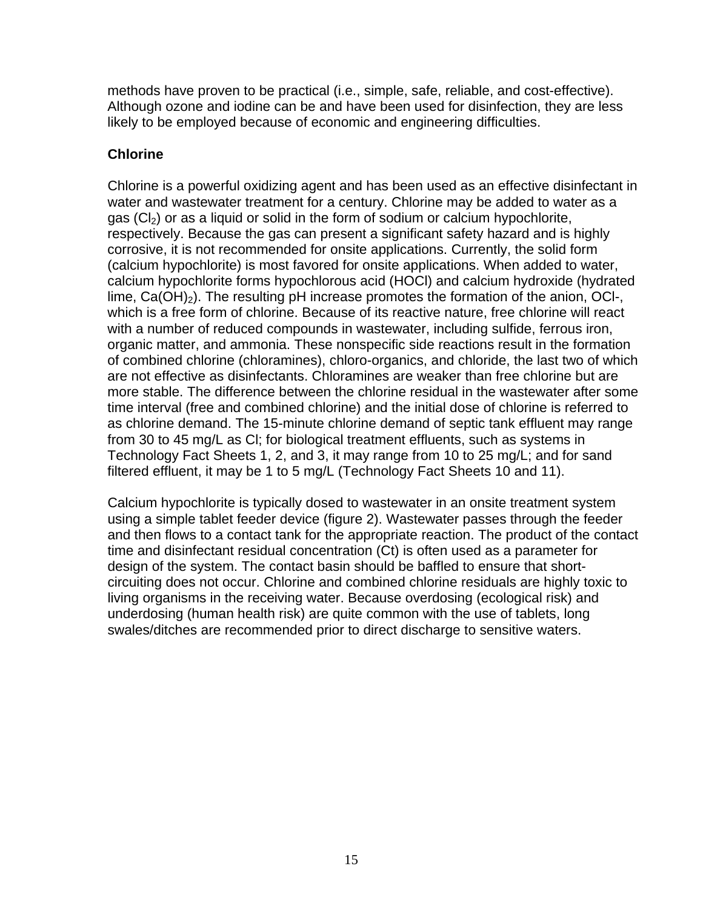methods have proven to be practical (i.e., simple, safe, reliable, and cost-effective). Although ozone and iodine can be and have been used for disinfection, they are less likely to be employed because of economic and engineering difficulties.

## **Chlorine**

Chlorine is a powerful oxidizing agent and has been used as an effective disinfectant in water and wastewater treatment for a century. Chlorine may be added to water as a gas  $(Cl<sub>2</sub>)$  or as a liquid or solid in the form of sodium or calcium hypochlorite, respectively. Because the gas can present a significant safety hazard and is highly corrosive, it is not recommended for onsite applications. Currently, the solid form (calcium hypochlorite) is most favored for onsite applications. When added to water, calcium hypochlorite forms hypochlorous acid (HOCl) and calcium hydroxide (hydrated lime,  $Ca(OH)_2$ ). The resulting pH increase promotes the formation of the anion, OCI-, which is a free form of chlorine. Because of its reactive nature, free chlorine will react with a number of reduced compounds in wastewater, including sulfide, ferrous iron, organic matter, and ammonia. These nonspecific side reactions result in the formation of combined chlorine (chloramines), chloro-organics, and chloride, the last two of which are not effective as disinfectants. Chloramines are weaker than free chlorine but are more stable. The difference between the chlorine residual in the wastewater after some time interval (free and combined chlorine) and the initial dose of chlorine is referred to as chlorine demand. The 15-minute chlorine demand of septic tank effluent may range from 30 to 45 mg/L as Cl; for biological treatment effluents, such as systems in Technology Fact Sheets 1, 2, and 3, it may range from 10 to 25 mg/L; and for sand filtered effluent, it may be 1 to 5 mg/L (Technology Fact Sheets 10 and 11).

Calcium hypochlorite is typically dosed to wastewater in an onsite treatment system using a simple tablet feeder device (figure 2). Wastewater passes through the feeder and then flows to a contact tank for the appropriate reaction. The product of the contact time and disinfectant residual concentration (Ct) is often used as a parameter for design of the system. The contact basin should be baffled to ensure that shortcircuiting does not occur. Chlorine and combined chlorine residuals are highly toxic to living organisms in the receiving water. Because overdosing (ecological risk) and underdosing (human health risk) are quite common with the use of tablets, long swales/ditches are recommended prior to direct discharge to sensitive waters.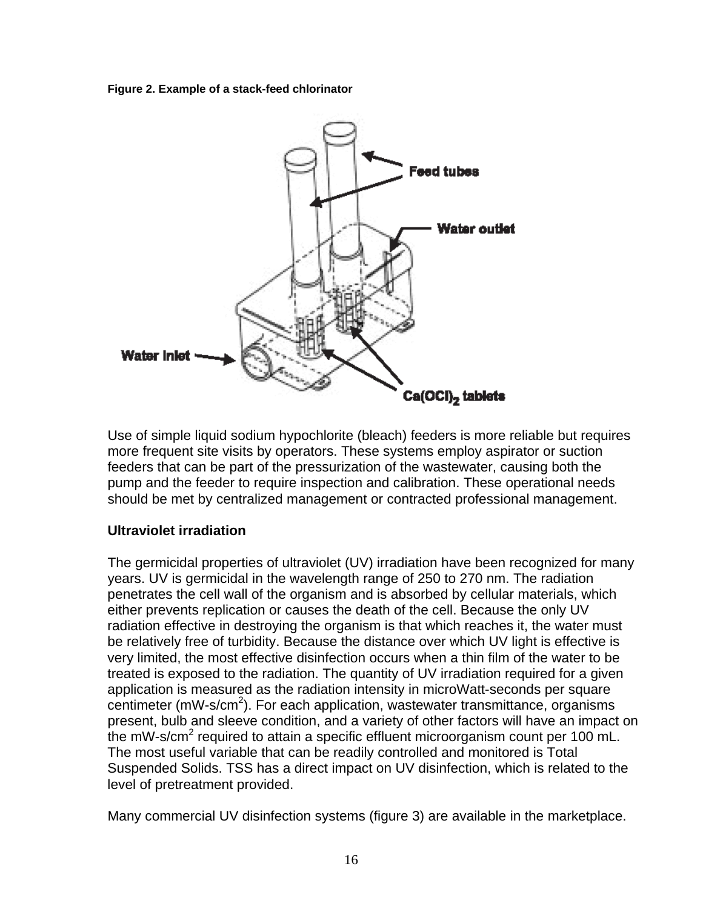**Figure 2. Example of a stack-feed chlorinator**



Use of simple liquid sodium hypochlorite (bleach) feeders is more reliable but requires more frequent site visits by operators. These systems employ aspirator or suction feeders that can be part of the pressurization of the wastewater, causing both the pump and the feeder to require inspection and calibration. These operational needs should be met by centralized management or contracted professional management.

## **Ultraviolet irradiation**

The germicidal properties of ultraviolet (UV) irradiation have been recognized for many years. UV is germicidal in the wavelength range of 250 to 270 nm. The radiation penetrates the cell wall of the organism and is absorbed by cellular materials, which either prevents replication or causes the death of the cell. Because the only UV radiation effective in destroying the organism is that which reaches it, the water must be relatively free of turbidity. Because the distance over which UV light is effective is very limited, the most effective disinfection occurs when a thin film of the water to be treated is exposed to the radiation. The quantity of UV irradiation required for a given application is measured as the radiation intensity in microWatt-seconds per square centimeter (mW-s/cm<sup>2</sup>). For each application, wastewater transmittance, organisms present, bulb and sleeve condition, and a variety of other factors will have an impact on the mW-s/cm<sup>2</sup> required to attain a specific effluent microorganism count per 100 mL. The most useful variable that can be readily controlled and monitored is Total Suspended Solids. TSS has a direct impact on UV disinfection, which is related to the level of pretreatment provided.

Many commercial UV disinfection systems (figure 3) are available in the marketplace.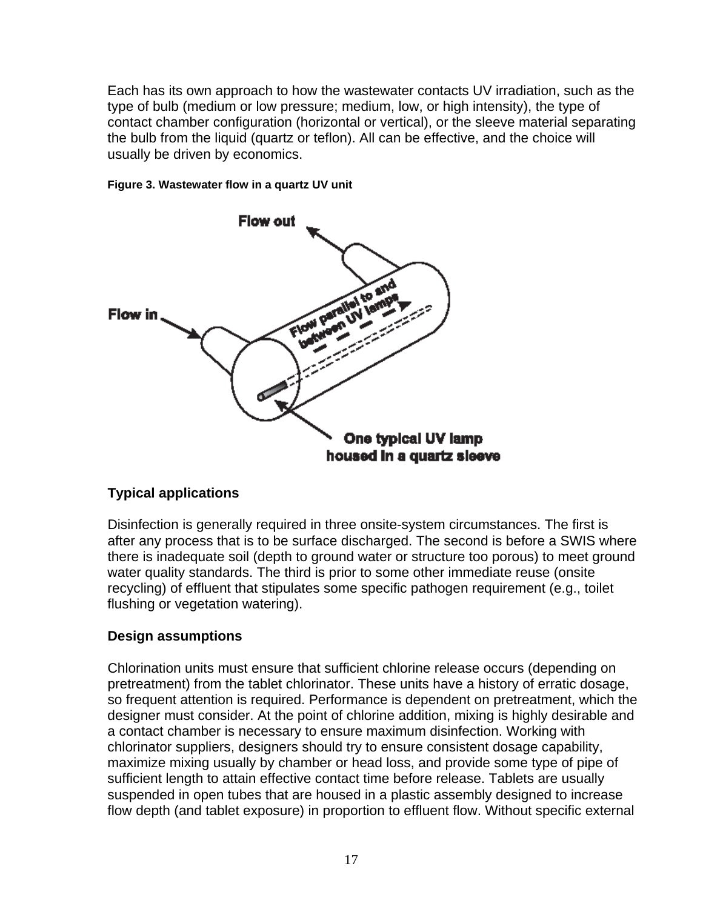Each has its own approach to how the wastewater contacts UV irradiation, such as the type of bulb (medium or low pressure; medium, low, or high intensity), the type of contact chamber configuration (horizontal or vertical), or the sleeve material separating the bulb from the liquid (quartz or teflon). All can be effective, and the choice will usually be driven by economics.



## **Figure 3. Wastewater flow in a quartz UV unit**

## **Typical applications**

Disinfection is generally required in three onsite-system circumstances. The first is after any process that is to be surface discharged. The second is before a SWIS where there is inadequate soil (depth to ground water or structure too porous) to meet ground water quality standards. The third is prior to some other immediate reuse (onsite recycling) of effluent that stipulates some specific pathogen requirement (e.g., toilet flushing or vegetation watering).

## **Design assumptions**

Chlorination units must ensure that sufficient chlorine release occurs (depending on pretreatment) from the tablet chlorinator. These units have a history of erratic dosage, so frequent attention is required. Performance is dependent on pretreatment, which the designer must consider. At the point of chlorine addition, mixing is highly desirable and a contact chamber is necessary to ensure maximum disinfection. Working with chlorinator suppliers, designers should try to ensure consistent dosage capability, maximize mixing usually by chamber or head loss, and provide some type of pipe of sufficient length to attain effective contact time before release. Tablets are usually suspended in open tubes that are housed in a plastic assembly designed to increase flow depth (and tablet exposure) in proportion to effluent flow. Without specific external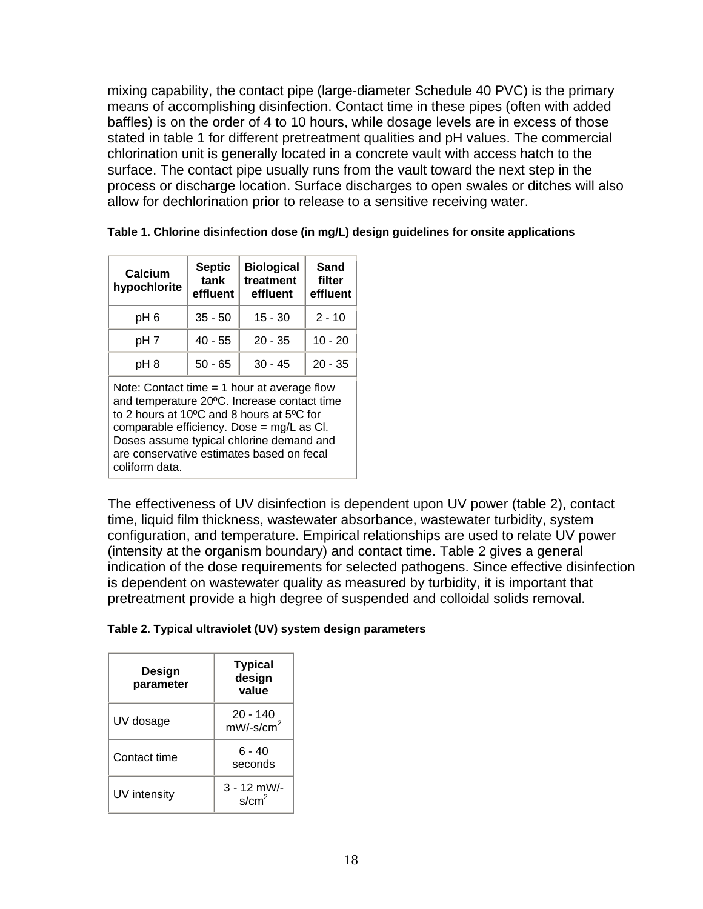mixing capability, the contact pipe (large-diameter Schedule 40 PVC) is the primary means of accomplishing disinfection. Contact time in these pipes (often with added baffles) is on the order of 4 to 10 hours, while dosage levels are in excess of those stated in table 1 for different pretreatment qualities and pH values. The commercial chlorination unit is generally located in a concrete vault with access hatch to the surface. The contact pipe usually runs from the vault toward the next step in the process or discharge location. Surface discharges to open swales or ditches will also allow for dechlorination prior to release to a sensitive receiving water.

| Calcium<br>hypochlorite                                                                                                                   | <b>Septic</b><br>tank<br>effluent | <b>Biological</b><br>treatment<br>effluent | Sand<br>filter<br>effluent |
|-------------------------------------------------------------------------------------------------------------------------------------------|-----------------------------------|--------------------------------------------|----------------------------|
| pH <sub>6</sub>                                                                                                                           | $35 - 50$                         | $15 - 30$                                  | $2 - 10$                   |
| pH <sub>7</sub>                                                                                                                           | $40 - 55$                         | $20 - 35$                                  | $10 - 20$                  |
| pH <sub>8</sub>                                                                                                                           | $50 - 65$                         | $30 - 45$                                  | $20 - 35$                  |
| Note: Contact time $=$ 1 hour at average flow<br>and temperature 20°C. Increase contact time<br>to 2 hours at 10°C and 8 hours at 5°C for |                                   |                                            |                            |

comparable efficiency. Dose = mg/L as Cl. Doses assume typical chlorine demand and are conservative estimates based on fecal

coliform data.

The effectiveness of UV disinfection is dependent upon UV power (table 2), contact time, liquid film thickness, wastewater absorbance, wastewater turbidity, system configuration, and temperature. Empirical relationships are used to relate UV power (intensity at the organism boundary) and contact time. Table 2 gives a general indication of the dose requirements for selected pathogens. Since effective disinfection is dependent on wastewater quality as measured by turbidity, it is important that pretreatment provide a high degree of suspended and colloidal solids removal.

**Table 2. Typical ultraviolet (UV) system design parameters**

| Design<br>parameter | <b>Typical</b><br>design<br>value    |
|---------------------|--------------------------------------|
| UV dosage           | 20 - 140<br>$mW$ /-s/cm <sup>2</sup> |
| Contact time        | ճ - 40<br>seconds                    |
| UV intensity        | $3 - 12$ mW/-<br>s/cm <sup>2</sup>   |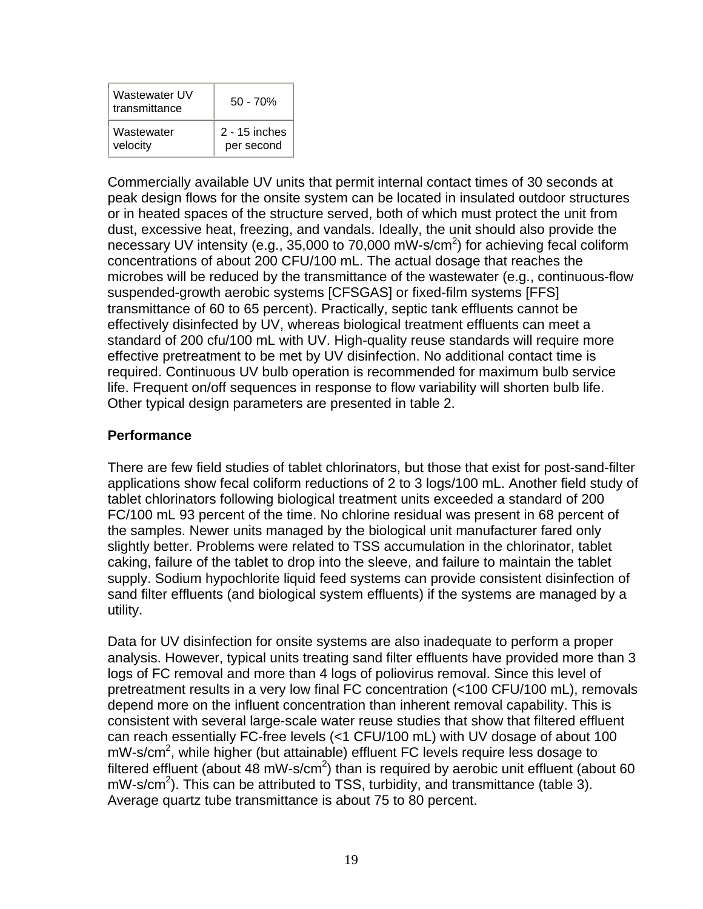| Wastewater UV<br>transmittance | $50 - 70%$      |
|--------------------------------|-----------------|
| Wastewater                     | $2 - 15$ inches |
| velocity                       | per second      |

Commercially available UV units that permit internal contact times of 30 seconds at peak design flows for the onsite system can be located in insulated outdoor structures or in heated spaces of the structure served, both of which must protect the unit from dust, excessive heat, freezing, and vandals. Ideally, the unit should also provide the necessary UV intensity (e.g., 35,000 to 70,000 mW-s/cm<sup>2</sup>) for achieving fecal coliform concentrations of about 200 CFU/100 mL. The actual dosage that reaches the microbes will be reduced by the transmittance of the wastewater (e.g., continuous-flow suspended-growth aerobic systems [CFSGAS] or fixed-film systems [FFS] transmittance of 60 to 65 percent). Practically, septic tank effluents cannot be effectively disinfected by UV, whereas biological treatment effluents can meet a standard of 200 cfu/100 mL with UV. High-quality reuse standards will require more effective pretreatment to be met by UV disinfection. No additional contact time is required. Continuous UV bulb operation is recommended for maximum bulb service life. Frequent on/off sequences in response to flow variability will shorten bulb life. Other typical design parameters are presented in table 2.

## **Performance**

There are few field studies of tablet chlorinators, but those that exist for post-sand-filter applications show fecal coliform reductions of 2 to 3 logs/100 mL. Another field study of tablet chlorinators following biological treatment units exceeded a standard of 200 FC/100 mL 93 percent of the time. No chlorine residual was present in 68 percent of the samples. Newer units managed by the biological unit manufacturer fared only slightly better. Problems were related to TSS accumulation in the chlorinator, tablet caking, failure of the tablet to drop into the sleeve, and failure to maintain the tablet supply. Sodium hypochlorite liquid feed systems can provide consistent disinfection of sand filter effluents (and biological system effluents) if the systems are managed by a utility.

Data for UV disinfection for onsite systems are also inadequate to perform a proper analysis. However, typical units treating sand filter effluents have provided more than 3 logs of FC removal and more than 4 logs of poliovirus removal. Since this level of pretreatment results in a very low final FC concentration (<100 CFU/100 mL), removals depend more on the influent concentration than inherent removal capability. This is consistent with several large-scale water reuse studies that show that filtered effluent can reach essentially FC-free levels (<1 CFU/100 mL) with UV dosage of about 100 mW-s/cm<sup>2</sup>, while higher (but attainable) effluent FC levels require less dosage to filtered effluent (about 48 mW-s/cm<sup>2</sup>) than is required by aerobic unit effluent (about 60  $mW$ -s/cm<sup>2</sup>). This can be attributed to TSS, turbidity, and transmittance (table 3). Average quartz tube transmittance is about 75 to 80 percent.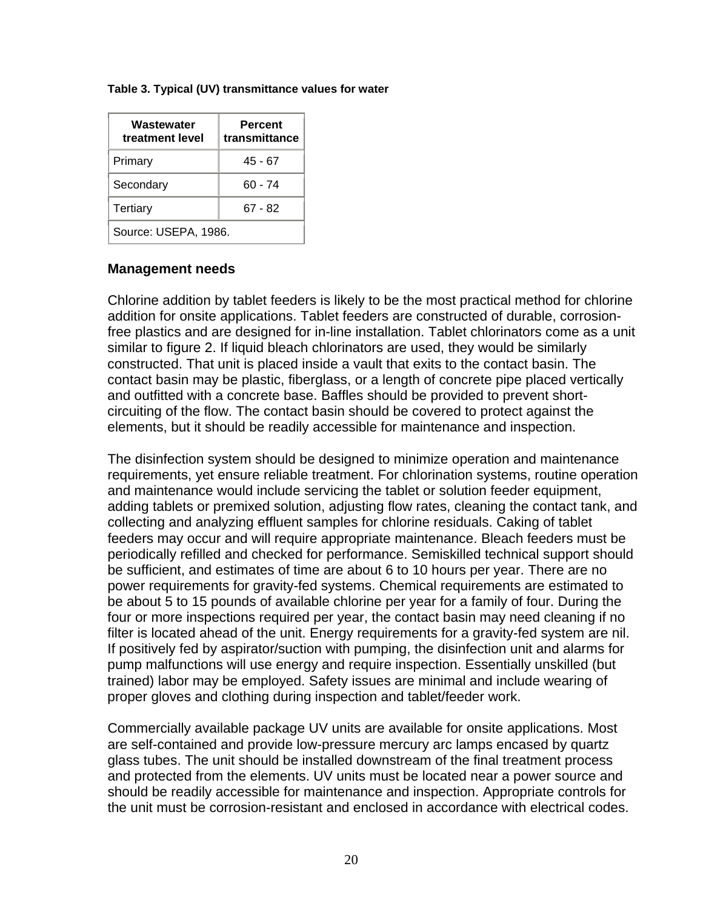### **Table 3. Typical (UV) transmittance values for water**

| Wastewater<br>treatment level | <b>Percent</b><br>transmittance |  |
|-------------------------------|---------------------------------|--|
| Primary                       | 45 - 67                         |  |
| Secondary                     | $60 - 74$                       |  |
| Tertiary                      | 67 - 82                         |  |
| Source: USEPA, 1986.          |                                 |  |

## **Management needs**

Chlorine addition by tablet feeders is likely to be the most practical method for chlorine addition for onsite applications. Tablet feeders are constructed of durable, corrosionfree plastics and are designed for in-line installation. Tablet chlorinators come as a unit similar to figure 2. If liquid bleach chlorinators are used, they would be similarly constructed. That unit is placed inside a vault that exits to the contact basin. The contact basin may be plastic, fiberglass, or a length of concrete pipe placed vertically and outfitted with a concrete base. Baffles should be provided to prevent shortcircuiting of the flow. The contact basin should be covered to protect against the elements, but it should be readily accessible for maintenance and inspection.

The disinfection system should be designed to minimize operation and maintenance requirements, yet ensure reliable treatment. For chlorination systems, routine operation and maintenance would include servicing the tablet or solution feeder equipment, adding tablets or premixed solution, adjusting flow rates, cleaning the contact tank, and collecting and analyzing effluent samples for chlorine residuals. Caking of tablet feeders may occur and will require appropriate maintenance. Bleach feeders must be periodically refilled and checked for performance. Semiskilled technical support should be sufficient, and estimates of time are about 6 to 10 hours per year. There are no power requirements for gravity-fed systems. Chemical requirements are estimated to be about 5 to 15 pounds of available chlorine per year for a family of four. During the four or more inspections required per year, the contact basin may need cleaning if no filter is located ahead of the unit. Energy requirements for a gravity-fed system are nil. If positively fed by aspirator/suction with pumping, the disinfection unit and alarms for pump malfunctions will use energy and require inspection. Essentially unskilled (but trained) labor may be employed. Safety issues are minimal and include wearing of proper gloves and clothing during inspection and tablet/feeder work.

Commercially available package UV units are available for onsite applications. Most are self-contained and provide low-pressure mercury arc lamps encased by quartz glass tubes. The unit should be installed downstream of the final treatment process and protected from the elements. UV units must be located near a power source and should be readily accessible for maintenance and inspection. Appropriate controls for the unit must be corrosion-resistant and enclosed in accordance with electrical codes.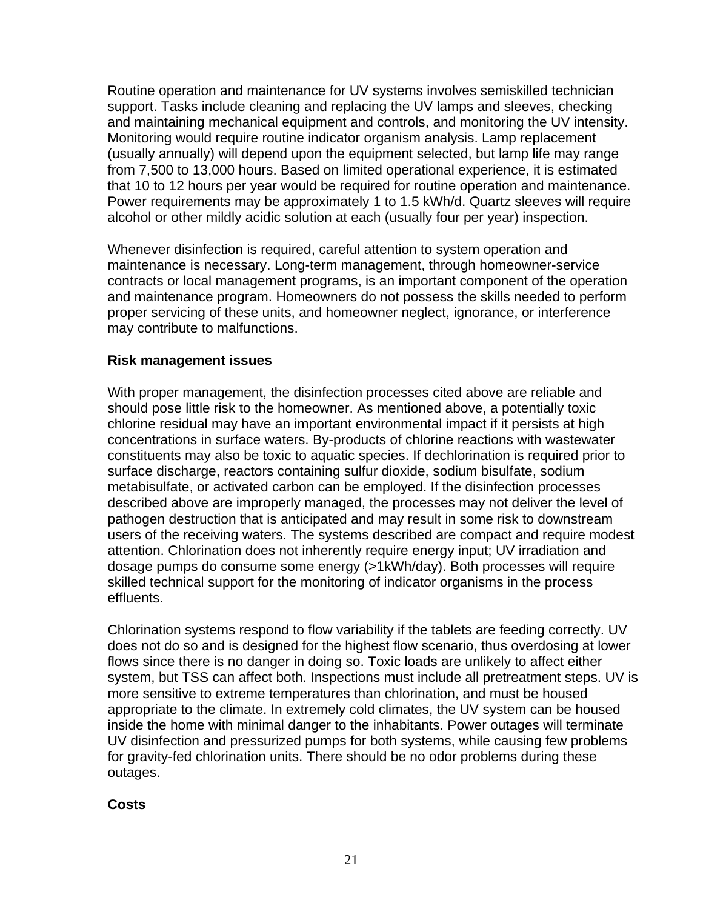Routine operation and maintenance for UV systems involves semiskilled technician support. Tasks include cleaning and replacing the UV lamps and sleeves, checking and maintaining mechanical equipment and controls, and monitoring the UV intensity. Monitoring would require routine indicator organism analysis. Lamp replacement (usually annually) will depend upon the equipment selected, but lamp life may range from 7,500 to 13,000 hours. Based on limited operational experience, it is estimated that 10 to 12 hours per year would be required for routine operation and maintenance. Power requirements may be approximately 1 to 1.5 kWh/d. Quartz sleeves will require alcohol or other mildly acidic solution at each (usually four per year) inspection.

Whenever disinfection is required, careful attention to system operation and maintenance is necessary. Long-term management, through homeowner-service contracts or local management programs, is an important component of the operation and maintenance program. Homeowners do not possess the skills needed to perform proper servicing of these units, and homeowner neglect, ignorance, or interference may contribute to malfunctions.

## **Risk management issues**

With proper management, the disinfection processes cited above are reliable and should pose little risk to the homeowner. As mentioned above, a potentially toxic chlorine residual may have an important environmental impact if it persists at high concentrations in surface waters. By-products of chlorine reactions with wastewater constituents may also be toxic to aquatic species. If dechlorination is required prior to surface discharge, reactors containing sulfur dioxide, sodium bisulfate, sodium metabisulfate, or activated carbon can be employed. If the disinfection processes described above are improperly managed, the processes may not deliver the level of pathogen destruction that is anticipated and may result in some risk to downstream users of the receiving waters. The systems described are compact and require modest attention. Chlorination does not inherently require energy input; UV irradiation and dosage pumps do consume some energy (>1kWh/day). Both processes will require skilled technical support for the monitoring of indicator organisms in the process effluents.

Chlorination systems respond to flow variability if the tablets are feeding correctly. UV does not do so and is designed for the highest flow scenario, thus overdosing at lower flows since there is no danger in doing so. Toxic loads are unlikely to affect either system, but TSS can affect both. Inspections must include all pretreatment steps. UV is more sensitive to extreme temperatures than chlorination, and must be housed appropriate to the climate. In extremely cold climates, the UV system can be housed inside the home with minimal danger to the inhabitants. Power outages will terminate UV disinfection and pressurized pumps for both systems, while causing few problems for gravity-fed chlorination units. There should be no odor problems during these outages.

## **Costs**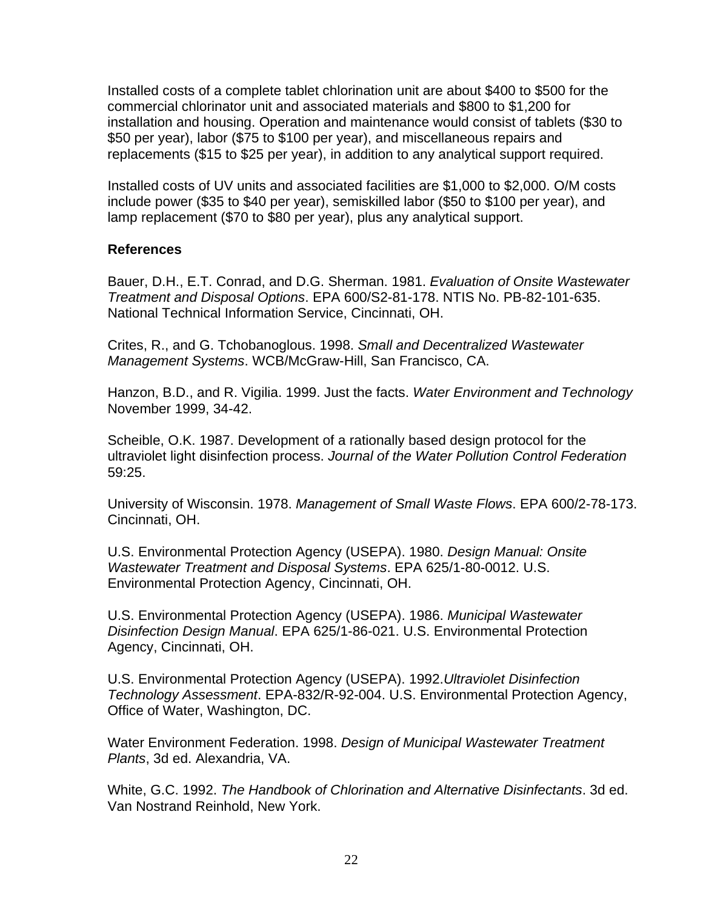Installed costs of a complete tablet chlorination unit are about \$400 to \$500 for the commercial chlorinator unit and associated materials and \$800 to \$1,200 for installation and housing. Operation and maintenance would consist of tablets (\$30 to \$50 per year), labor (\$75 to \$100 per year), and miscellaneous repairs and replacements (\$15 to \$25 per year), in addition to any analytical support required.

Installed costs of UV units and associated facilities are \$1,000 to \$2,000. O/M costs include power (\$35 to \$40 per year), semiskilled labor (\$50 to \$100 per year), and lamp replacement (\$70 to \$80 per year), plus any analytical support.

## **References**

Bauer, D.H., E.T. Conrad, and D.G. Sherman. 1981. *Evaluation of Onsite Wastewater Treatment and Disposal Options*. EPA 600/S2-81-178. NTIS No. PB-82-101-635. National Technical Information Service, Cincinnati, OH.

Crites, R., and G. Tchobanoglous. 1998. *Small and Decentralized Wastewater Management Systems*. WCB/McGraw-Hill, San Francisco, CA.

Hanzon, B.D., and R. Vigilia. 1999. Just the facts. *Water Environment and Technology* November 1999, 34-42.

Scheible, O.K. 1987. Development of a rationally based design protocol for the ultraviolet light disinfection process. *Journal of the Water Pollution Control Federation* 59:25.

University of Wisconsin. 1978. *Management of Small Waste Flows*. EPA 600/2-78-173. Cincinnati, OH.

U.S. Environmental Protection Agency (USEPA). 1980. *Design Manual: Onsite Wastewater Treatment and Disposal Systems*. EPA 625/1-80-0012. U.S. Environmental Protection Agency, Cincinnati, OH.

U.S. Environmental Protection Agency (USEPA). 1986. *Municipal Wastewater Disinfection Design Manual*. EPA 625/1-86-021. U.S. Environmental Protection Agency, Cincinnati, OH.

U.S. Environmental Protection Agency (USEPA). 1992.*Ultraviolet Disinfection Technology Assessment*. EPA-832/R-92-004. U.S. Environmental Protection Agency, Office of Water, Washington, DC.

Water Environment Federation. 1998. *Design of Municipal Wastewater Treatment Plants*, 3d ed. Alexandria, VA.

White, G.C. 1992. *The Handbook of Chlorination and Alternative Disinfectants*. 3d ed. Van Nostrand Reinhold, New York.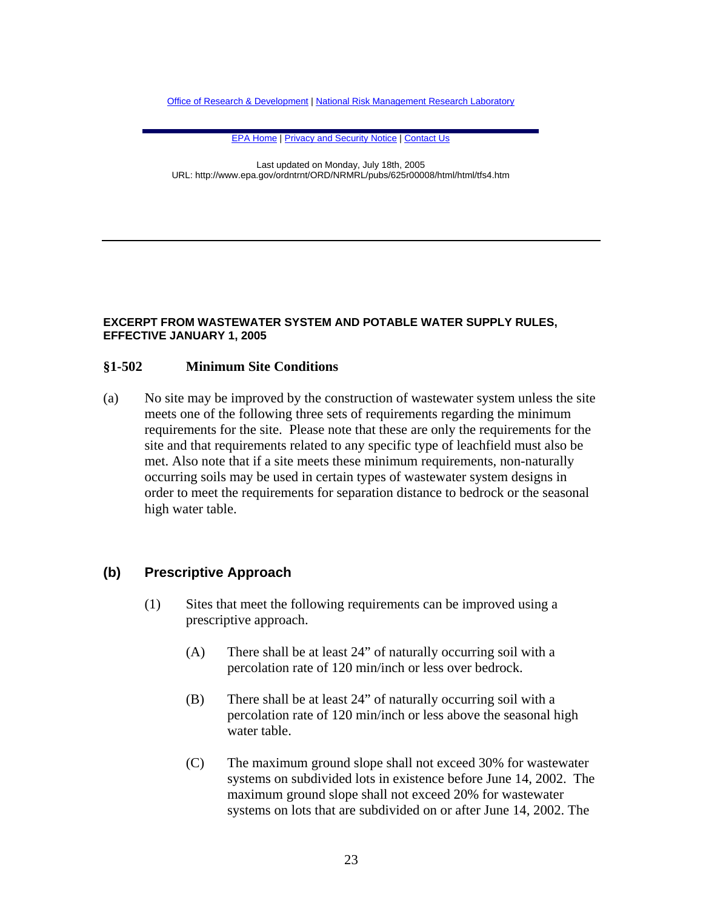Office of Research & Development | National Risk Management Research Laboratory

**EPA Home | Privacy and Security Notice | Contact Us** 

Last updated on Monday, July 18th, 2005 URL: http://www.epa.gov/ordntrnt/ORD/NRMRL/pubs/625r00008/html/html/tfs4.htm

### **EXCERPT FROM WASTEWATER SYSTEM AND POTABLE WATER SUPPLY RULES, EFFECTIVE JANUARY 1, 2005**

## **§1-502 Minimum Site Conditions**

(a) No site may be improved by the construction of wastewater system unless the site meets one of the following three sets of requirements regarding the minimum requirements for the site. Please note that these are only the requirements for the site and that requirements related to any specific type of leachfield must also be met. Also note that if a site meets these minimum requirements, non-naturally occurring soils may be used in certain types of wastewater system designs in order to meet the requirements for separation distance to bedrock or the seasonal high water table.

### **(b) Prescriptive Approach**

- (1) Sites that meet the following requirements can be improved using a prescriptive approach.
	- (A) There shall be at least 24" of naturally occurring soil with a percolation rate of 120 min/inch or less over bedrock.
	- (B) There shall be at least 24" of naturally occurring soil with a percolation rate of 120 min/inch or less above the seasonal high water table.
	- (C) The maximum ground slope shall not exceed 30% for wastewater systems on subdivided lots in existence before June 14, 2002. The maximum ground slope shall not exceed 20% for wastewater systems on lots that are subdivided on or after June 14, 2002. The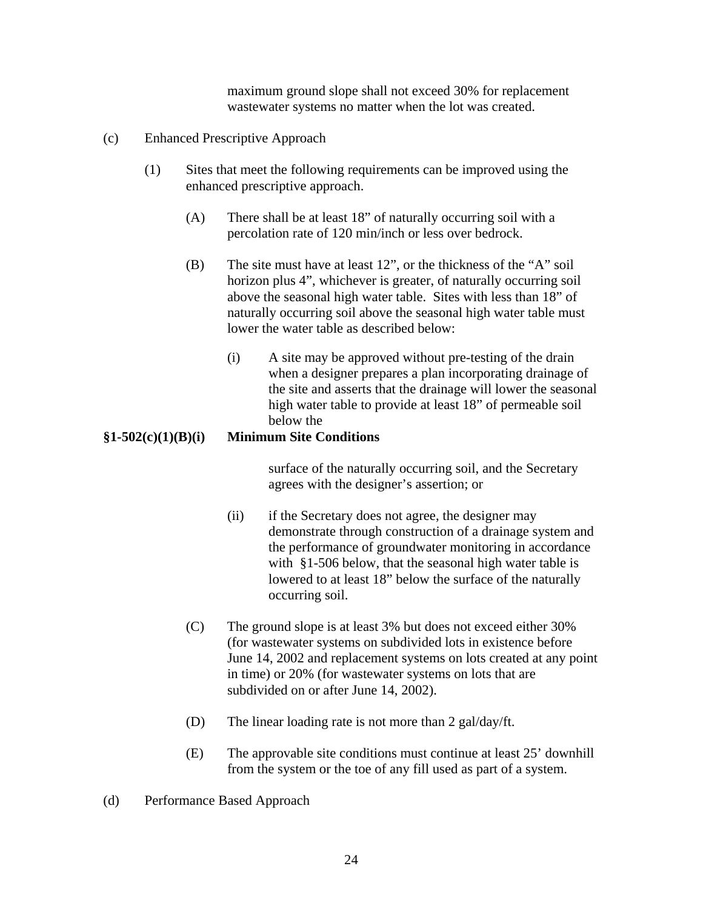maximum ground slope shall not exceed 30% for replacement wastewater systems no matter when the lot was created.

- (c) Enhanced Prescriptive Approach
	- (1) Sites that meet the following requirements can be improved using the enhanced prescriptive approach.
		- (A) There shall be at least 18" of naturally occurring soil with a percolation rate of 120 min/inch or less over bedrock.
		- (B) The site must have at least 12", or the thickness of the "A" soil horizon plus 4", whichever is greater, of naturally occurring soil above the seasonal high water table. Sites with less than 18" of naturally occurring soil above the seasonal high water table must lower the water table as described below:
			- (i) A site may be approved without pre-testing of the drain when a designer prepares a plan incorporating drainage of the site and asserts that the drainage will lower the seasonal high water table to provide at least 18" of permeable soil below the

### **§1-502(c)(1)(B)(i) Minimum Site Conditions**

surface of the naturally occurring soil, and the Secretary agrees with the designer's assertion; or

- (ii) if the Secretary does not agree, the designer may demonstrate through construction of a drainage system and the performance of groundwater monitoring in accordance with §1-506 below, that the seasonal high water table is lowered to at least 18" below the surface of the naturally occurring soil.
- (C) The ground slope is at least 3% but does not exceed either 30% (for wastewater systems on subdivided lots in existence before June 14, 2002 and replacement systems on lots created at any point in time) or 20% (for wastewater systems on lots that are subdivided on or after June 14, 2002).
- (D) The linear loading rate is not more than 2 gal/day/ft.
- (E) The approvable site conditions must continue at least 25' downhill from the system or the toe of any fill used as part of a system.
- (d) Performance Based Approach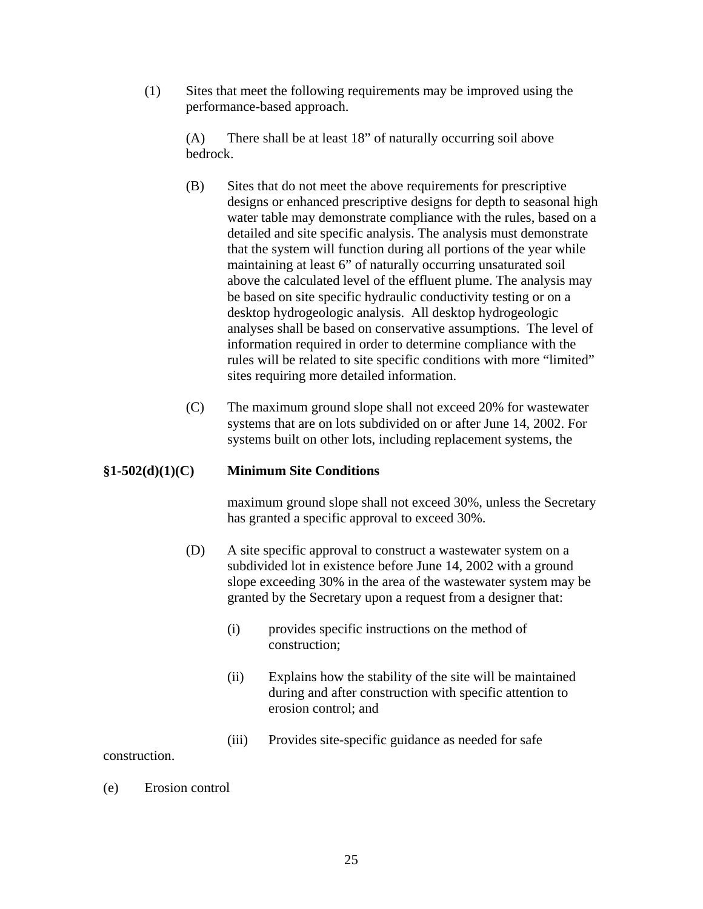(1) Sites that meet the following requirements may be improved using the performance-based approach.

> (A) There shall be at least 18" of naturally occurring soil above bedrock.

- (B) Sites that do not meet the above requirements for prescriptive designs or enhanced prescriptive designs for depth to seasonal high water table may demonstrate compliance with the rules, based on a detailed and site specific analysis. The analysis must demonstrate that the system will function during all portions of the year while maintaining at least 6" of naturally occurring unsaturated soil above the calculated level of the effluent plume. The analysis may be based on site specific hydraulic conductivity testing or on a desktop hydrogeologic analysis. All desktop hydrogeologic analyses shall be based on conservative assumptions. The level of information required in order to determine compliance with the rules will be related to site specific conditions with more "limited" sites requiring more detailed information.
- (C) The maximum ground slope shall not exceed 20% for wastewater systems that are on lots subdivided on or after June 14, 2002. For systems built on other lots, including replacement systems, the

## **§1-502(d)(1)(C) Minimum Site Conditions**

maximum ground slope shall not exceed 30%, unless the Secretary has granted a specific approval to exceed 30%.

- (D) A site specific approval to construct a wastewater system on a subdivided lot in existence before June 14, 2002 with a ground slope exceeding 30% in the area of the wastewater system may be granted by the Secretary upon a request from a designer that:
	- (i) provides specific instructions on the method of construction;
	- (ii) Explains how the stability of the site will be maintained during and after construction with specific attention to erosion control; and
	- (iii) Provides site-specific guidance as needed for safe

construction.

(e) Erosion control